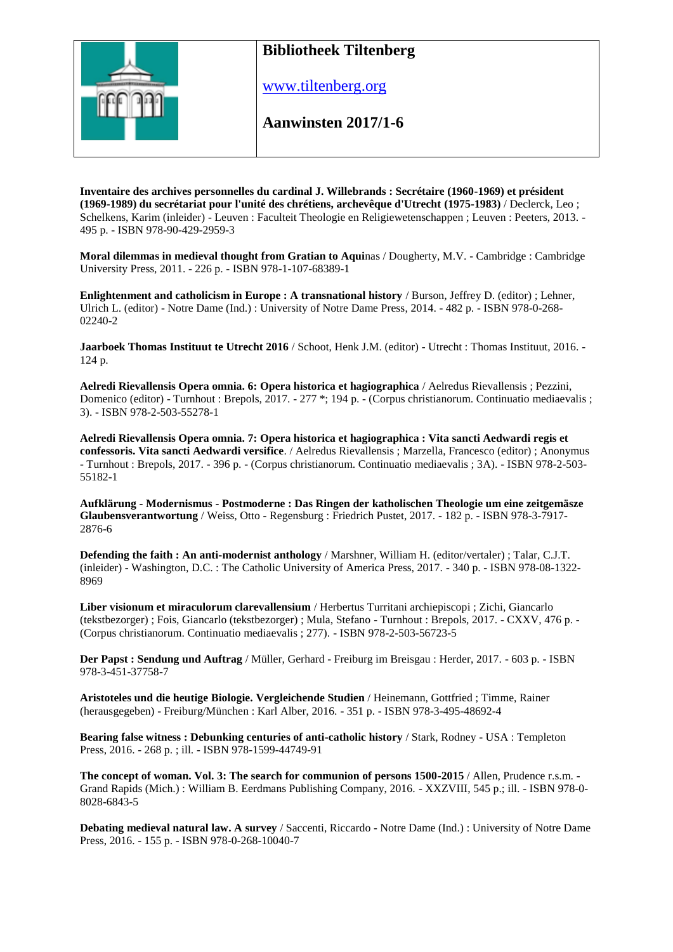

www.tiltenberg.org

**Aanwinsten 2017/1-6 Aanwinsten 2014**

**Inventaire des archives personnelles du cardinal J. Willebrands : Secrétaire (1960-1969) et président (1969-1989) du secrétariat pour l'unité des chrétiens, archevêque d'Utrecht (1975-1983)** / Declerck, Leo ; Schelkens, Karim (inleider) - Leuven : Faculteit Theologie en Religiewetenschappen ; Leuven : Peeters, 2013. - 495 p. - ISBN 978-90-429-2959-3

**Moral dilemmas in medieval thought from Gratian to Aqui**nas / Dougherty, M.V. - Cambridge : Cambridge University Press, 2011. - 226 p. - ISBN 978-1-107-68389-1

**Enlightenment and catholicism in Europe : A transnational history** / Burson, Jeffrey D. (editor) ; Lehner, Ulrich L. (editor) - Notre Dame (Ind.) : University of Notre Dame Press, 2014. - 482 p. - ISBN 978-0-268- 02240-2

**Jaarboek Thomas Instituut te Utrecht 2016** / Schoot, Henk J.M. (editor) - Utrecht : Thomas Instituut, 2016. - 124 p.

**Aelredi Rievallensis Opera omnia. 6: Opera historica et hagiographica** / Aelredus Rievallensis ; Pezzini, Domenico (editor) - Turnhout : Brepols, 2017. - 277 \*; 194 p. - (Corpus christianorum. Continuatio mediaevalis ; 3). - ISBN 978-2-503-55278-1

**Aelredi Rievallensis Opera omnia. 7: Opera historica et hagiographica : Vita sancti Aedwardi regis et confessoris. Vita sancti Aedwardi versifice**. / Aelredus Rievallensis ; Marzella, Francesco (editor) ; Anonymus - Turnhout : Brepols, 2017. - 396 p. - (Corpus christianorum. Continuatio mediaevalis ; 3A). - ISBN 978-2-503- 55182-1

**Aufklärung - Modernismus - Postmoderne : Das Ringen der katholischen Theologie um eine zeitgemäsze Glaubensverantwortung** / Weiss, Otto - Regensburg : Friedrich Pustet, 2017. - 182 p. - ISBN 978-3-7917- 2876-6

**Defending the faith : An anti-modernist anthology** / Marshner, William H. (editor/vertaler) ; Talar, C.J.T. (inleider) - Washington, D.C. : The Catholic University of America Press, 2017. - 340 p. - ISBN 978-08-1322- 8969

**Liber visionum et miraculorum clarevallensium** / Herbertus Turritani archiepiscopi ; Zichi, Giancarlo (tekstbezorger) ; Fois, Giancarlo (tekstbezorger) ; Mula, Stefano - Turnhout : Brepols, 2017. - CXXV, 476 p. - (Corpus christianorum. Continuatio mediaevalis ; 277). - ISBN 978-2-503-56723-5

**Der Papst : Sendung und Auftrag** / Müller, Gerhard - Freiburg im Breisgau : Herder, 2017. - 603 p. - ISBN 978-3-451-37758-7

**Aristoteles und die heutige Biologie. Vergleichende Studien** / Heinemann, Gottfried ; Timme, Rainer (herausgegeben) - Freiburg/München : Karl Alber, 2016. - 351 p. - ISBN 978-3-495-48692-4

**Bearing false witness : Debunking centuries of anti-catholic history** / Stark, Rodney - USA : Templeton Press, 2016. - 268 p. ; ill. - ISBN 978-1599-44749-91

**The concept of woman. Vol. 3: The search for communion of persons 1500-2015** / Allen, Prudence r.s.m. - Grand Rapids (Mich.) : William B. Eerdmans Publishing Company, 2016. - XXZVIII, 545 p.; ill. - ISBN 978-0- 8028-6843-5

**Debating medieval natural law. A survey** / Saccenti, Riccardo - Notre Dame (Ind.) : University of Notre Dame Press, 2016. - 155 p. - ISBN 978-0-268-10040-7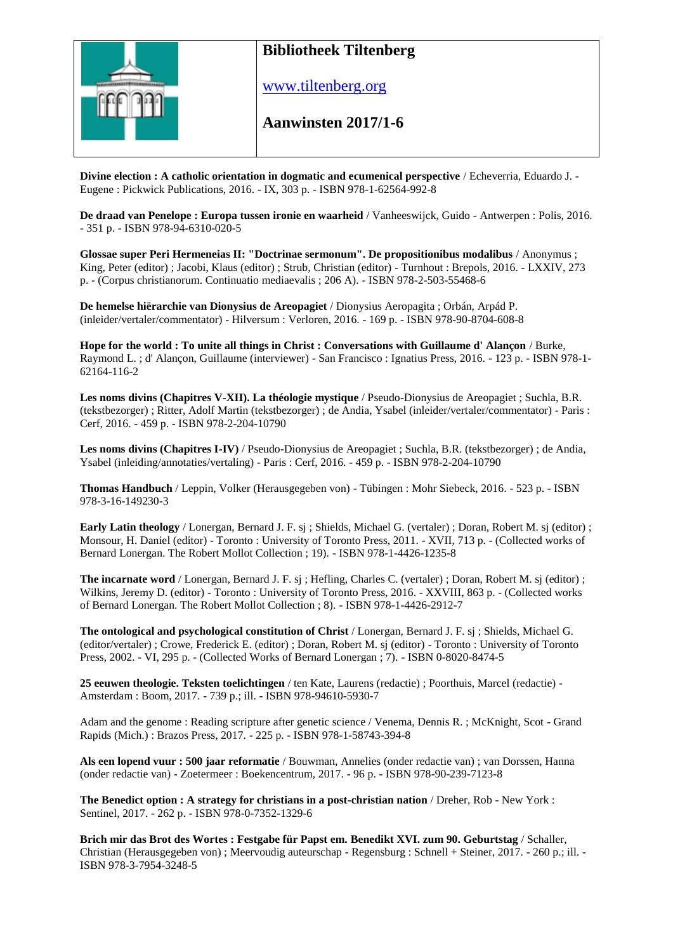

www.tiltenberg.org

#### **Aanwinsten 2017/1-6 Aanwinsten 2014**

**Divine election : A catholic orientation in dogmatic and ecumenical perspective** / Echeverria, Eduardo J. - Eugene : Pickwick Publications, 2016. - IX, 303 p. - ISBN 978-1-62564-992-8

**De draad van Penelope : Europa tussen ironie en waarheid** / Vanheeswijck, Guido - Antwerpen : Polis, 2016. - 351 p. - ISBN 978-94-6310-020-5

**Glossae super Peri Hermeneias II: "Doctrinae sermonum". De propositionibus modalibus** / Anonymus ; King, Peter (editor) ; Jacobi, Klaus (editor) ; Strub, Christian (editor) - Turnhout : Brepols, 2016. - LXXIV, 273 p. - (Corpus christianorum. Continuatio mediaevalis ; 206 A). - ISBN 978-2-503-55468-6

**De hemelse hiërarchie van Dionysius de Areopagiet** / Dionysius Aeropagita ; Orbán, Arpád P. (inleider/vertaler/commentator) - Hilversum : Verloren, 2016. - 169 p. - ISBN 978-90-8704-608-8

**Hope for the world : To unite all things in Christ : Conversations with Guillaume d' Alançon** / Burke, Raymond L. ; d' Alançon, Guillaume (interviewer) - San Francisco : Ignatius Press, 2016. - 123 p. - ISBN 978-1- 62164-116-2

**Les noms divins (Chapitres V-XII). La théologie mystique** / Pseudo-Dionysius de Areopagiet ; Suchla, B.R. (tekstbezorger) ; Ritter, Adolf Martin (tekstbezorger) ; de Andia, Ysabel (inleider/vertaler/commentator) - Paris : Cerf, 2016. - 459 p. - ISBN 978-2-204-10790

**Les noms divins (Chapitres I-IV)** / Pseudo-Dionysius de Areopagiet ; Suchla, B.R. (tekstbezorger) ; de Andia, Ysabel (inleiding/annotaties/vertaling) - Paris : Cerf, 2016. - 459 p. - ISBN 978-2-204-10790

**Thomas Handbuch** / Leppin, Volker (Herausgegeben von) - Tübingen : Mohr Siebeck, 2016. - 523 p. - ISBN 978-3-16-149230-3

**Early Latin theology** / Lonergan, Bernard J. F. sj ; Shields, Michael G. (vertaler) ; Doran, Robert M. sj (editor) ; Monsour, H. Daniel (editor) - Toronto : University of Toronto Press, 2011. - XVII, 713 p. - (Collected works of Bernard Lonergan. The Robert Mollot Collection ; 19). - ISBN 978-1-4426-1235-8

**The incarnate word** / Lonergan, Bernard J. F. sj ; Hefling, Charles C. (vertaler) ; Doran, Robert M. sj (editor) ; Wilkins, Jeremy D. (editor) - Toronto : University of Toronto Press, 2016. - XXVIII, 863 p. - (Collected works of Bernard Lonergan. The Robert Mollot Collection ; 8). - ISBN 978-1-4426-2912-7

**The ontological and psychological constitution of Christ** / Lonergan, Bernard J. F. sj ; Shields, Michael G. (editor/vertaler) ; Crowe, Frederick E. (editor) ; Doran, Robert M. sj (editor) - Toronto : University of Toronto Press, 2002. - VI, 295 p. - (Collected Works of Bernard Lonergan ; 7). - ISBN 0-8020-8474-5

**25 eeuwen theologie. Teksten toelichtingen** / ten Kate, Laurens (redactie) ; Poorthuis, Marcel (redactie) - Amsterdam : Boom, 2017. - 739 p.; ill. - ISBN 978-94610-5930-7

Adam and the genome : Reading scripture after genetic science / Venema, Dennis R. ; McKnight, Scot - Grand Rapids (Mich.) : Brazos Press, 2017. - 225 p. - ISBN 978-1-58743-394-8

**Als een lopend vuur : 500 jaar reformatie** / Bouwman, Annelies (onder redactie van) ; van Dorssen, Hanna (onder redactie van) - Zoetermeer : Boekencentrum, 2017. - 96 p. - ISBN 978-90-239-7123-8

**The Benedict option : A strategy for christians in a post-christian nation** / Dreher, Rob - New York : Sentinel, 2017. - 262 p. - ISBN 978-0-7352-1329-6

**Brich mir das Brot des Wortes : Festgabe für Papst em. Benedikt XVI. zum 90. Geburtstag** / Schaller, Christian (Herausgegeben von) ; Meervoudig auteurschap - Regensburg : Schnell + Steiner, 2017. - 260 p.; ill. - ISBN 978-3-7954-3248-5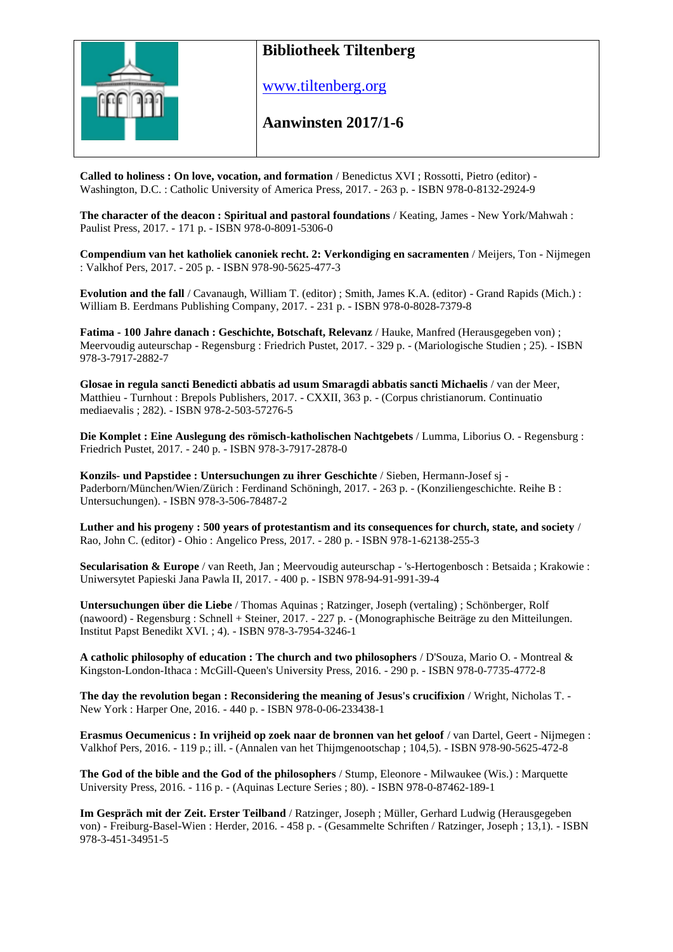

www.tiltenberg.org

#### **Aanwinsten 2017/1-6 Aanwinsten 2014**

**Called to holiness : On love, vocation, and formation** / Benedictus XVI ; Rossotti, Pietro (editor) - Washington, D.C. : Catholic University of America Press, 2017. - 263 p. - ISBN 978-0-8132-2924-9

**The character of the deacon : Spiritual and pastoral foundations** / Keating, James - New York/Mahwah : Paulist Press, 2017. - 171 p. - ISBN 978-0-8091-5306-0

**Compendium van het katholiek canoniek recht. 2: Verkondiging en sacramenten** / Meijers, Ton - Nijmegen : Valkhof Pers, 2017. - 205 p. - ISBN 978-90-5625-477-3

**Evolution and the fall** / Cavanaugh, William T. (editor) ; Smith, James K.A. (editor) - Grand Rapids (Mich.) : William B. Eerdmans Publishing Company, 2017. - 231 p. - ISBN 978-0-8028-7379-8

**Fatima - 100 Jahre danach : Geschichte, Botschaft, Relevanz** / Hauke, Manfred (Herausgegeben von) ; Meervoudig auteurschap - Regensburg : Friedrich Pustet, 2017. - 329 p. - (Mariologische Studien ; 25). - ISBN 978-3-7917-2882-7

**Glosae in regula sancti Benedicti abbatis ad usum Smaragdi abbatis sancti Michaelis** / van der Meer, Matthieu - Turnhout : Brepols Publishers, 2017. - CXXII, 363 p. - (Corpus christianorum. Continuatio mediaevalis ; 282). - ISBN 978-2-503-57276-5

**Die Komplet : Eine Auslegung des römisch-katholischen Nachtgebets** / Lumma, Liborius O. - Regensburg : Friedrich Pustet, 2017. - 240 p. - ISBN 978-3-7917-2878-0

**Konzils- und Papstidee : Untersuchungen zu ihrer Geschichte** / Sieben, Hermann-Josef sj - Paderborn/München/Wien/Zürich : Ferdinand Schöningh, 2017. - 263 p. - (Konziliengeschichte. Reihe B : Untersuchungen). - ISBN 978-3-506-78487-2

**Luther and his progeny : 500 years of protestantism and its consequences for church, state, and society** / Rao, John C. (editor) - Ohio : Angelico Press, 2017. - 280 p. - ISBN 978-1-62138-255-3

**Secularisation & Europe** / van Reeth, Jan ; Meervoudig auteurschap - 's-Hertogenbosch : Betsaida ; Krakowie : Uniwersytet Papieski Jana Pawla II, 2017. - 400 p. - ISBN 978-94-91-991-39-4

**Untersuchungen über die Liebe** / Thomas Aquinas ; Ratzinger, Joseph (vertaling) ; Schönberger, Rolf (nawoord) - Regensburg : Schnell + Steiner, 2017. - 227 p. - (Monographische Beiträge zu den Mitteilungen. Institut Papst Benedikt XVI. ; 4). - ISBN 978-3-7954-3246-1

**A catholic philosophy of education : The church and two philosophers** / D'Souza, Mario O. - Montreal & Kingston-London-Ithaca : McGill-Queen's University Press, 2016. - 290 p. - ISBN 978-0-7735-4772-8

**The day the revolution began : Reconsidering the meaning of Jesus's crucifixion** / Wright, Nicholas T. - New York : Harper One, 2016. - 440 p. - ISBN 978-0-06-233438-1

**Erasmus Oecumenicus : In vrijheid op zoek naar de bronnen van het geloof** / van Dartel, Geert - Nijmegen : Valkhof Pers, 2016. - 119 p.; ill. - (Annalen van het Thijmgenootschap ; 104,5). - ISBN 978-90-5625-472-8

**The God of the bible and the God of the philosophers** / Stump, Eleonore - Milwaukee (Wis.) : Marquette University Press, 2016. - 116 p. - (Aquinas Lecture Series ; 80). - ISBN 978-0-87462-189-1

**Im Gespräch mit der Zeit. Erster Teilband** / Ratzinger, Joseph ; Müller, Gerhard Ludwig (Herausgegeben von) - Freiburg-Basel-Wien : Herder, 2016. - 458 p. - (Gesammelte Schriften / Ratzinger, Joseph ; 13,1). - ISBN 978-3-451-34951-5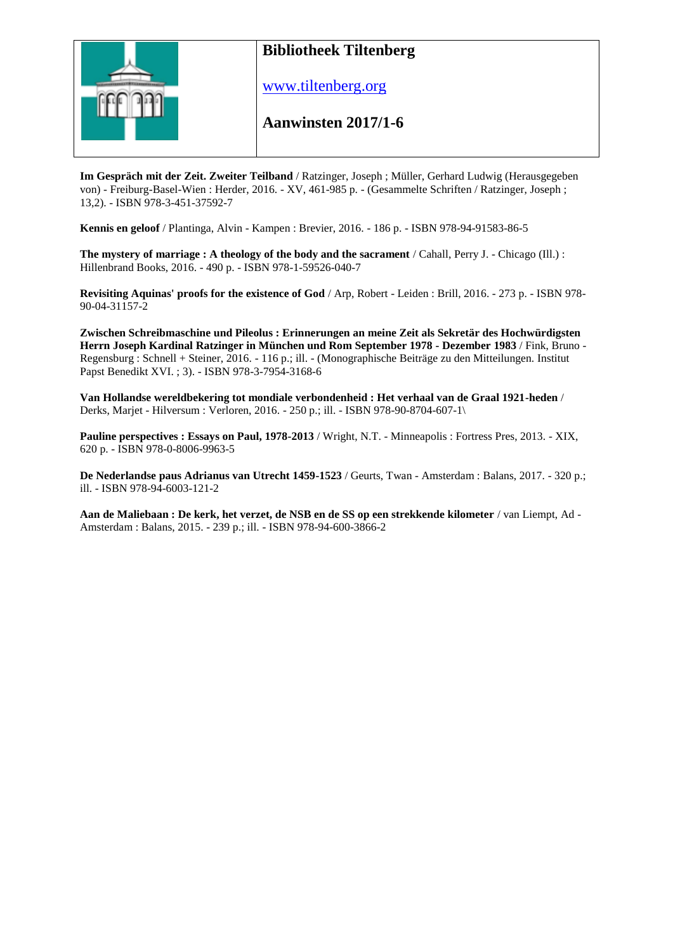

www.tiltenberg.org

#### **Aanwinsten 2017/1-6 Aanwinsten 2014**

**Im Gespräch mit der Zeit. Zweiter Teilband** / Ratzinger, Joseph ; Müller, Gerhard Ludwig (Herausgegeben von) - Freiburg-Basel-Wien : Herder, 2016. - XV, 461-985 p. - (Gesammelte Schriften / Ratzinger, Joseph ; 13,2). - ISBN 978-3-451-37592-7

**Kennis en geloof** / Plantinga, Alvin - Kampen : Brevier, 2016. - 186 p. - ISBN 978-94-91583-86-5

**The mystery of marriage : A theology of the body and the sacrament** / Cahall, Perry J. - Chicago (Ill.) : Hillenbrand Books, 2016. - 490 p. - ISBN 978-1-59526-040-7

**Revisiting Aquinas' proofs for the existence of God** / Arp, Robert - Leiden : Brill, 2016. - 273 p. - ISBN 978- 90-04-31157-2

**Zwischen Schreibmaschine und Pileolus : Erinnerungen an meine Zeit als Sekretär des Hochwürdigsten Herrn Joseph Kardinal Ratzinger in München und Rom September 1978 - Dezember 1983** / Fink, Bruno - Regensburg : Schnell + Steiner, 2016. - 116 p.; ill. - (Monographische Beiträge zu den Mitteilungen. Institut Papst Benedikt XVI. ; 3). - ISBN 978-3-7954-3168-6

**Van Hollandse wereldbekering tot mondiale verbondenheid : Het verhaal van de Graal 1921-heden** / Derks, Marjet - Hilversum : Verloren, 2016. - 250 p.; ill. - ISBN 978-90-8704-607-1\

**Pauline perspectives : Essays on Paul, 1978-2013** / Wright, N.T. - Minneapolis : Fortress Pres, 2013. - XIX, 620 p. - ISBN 978-0-8006-9963-5

**De Nederlandse paus Adrianus van Utrecht 1459-1523** / Geurts, Twan - Amsterdam : Balans, 2017. - 320 p.; ill. - ISBN 978-94-6003-121-2

**Aan de Maliebaan : De kerk, het verzet, de NSB en de SS op een strekkende kilometer** / van Liempt, Ad - Amsterdam : Balans, 2015. - 239 p.; ill. - ISBN 978-94-600-3866-2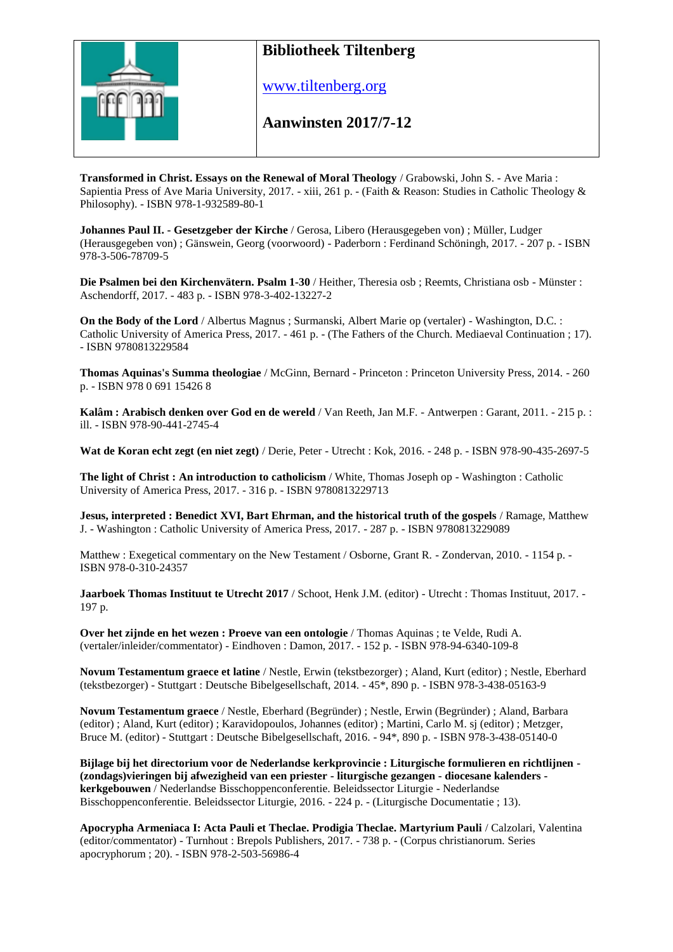

www.tiltenberg.org

#### **Aanwinsten 2017/7-12 Aanwinsten 2014**

**Transformed in Christ. Essays on the Renewal of Moral Theology** / Grabowski, John S. - Ave Maria : Sapientia Press of Ave Maria University, 2017. - xiii, 261 p. - (Faith & Reason: Studies in Catholic Theology & Philosophy). - ISBN 978-1-932589-80-1

**Johannes Paul II. - Gesetzgeber der Kirche** / Gerosa, Libero (Herausgegeben von) ; Müller, Ludger (Herausgegeben von) ; Gänswein, Georg (voorwoord) - Paderborn : Ferdinand Schöningh, 2017. - 207 p. - ISBN 978-3-506-78709-5

**Die Psalmen bei den Kirchenvätern. Psalm 1-30** / Heither, Theresia osb ; Reemts, Christiana osb - Münster : Aschendorff, 2017. - 483 p. - ISBN 978-3-402-13227-2

**On the Body of the Lord** / Albertus Magnus ; Surmanski, Albert Marie op (vertaler) - Washington, D.C. : Catholic University of America Press, 2017. - 461 p. - (The Fathers of the Church. Mediaeval Continuation ; 17). - ISBN 9780813229584

**Thomas Aquinas's Summa theologiae** / McGinn, Bernard - Princeton : Princeton University Press, 2014. - 260 p. - ISBN 978 0 691 15426 8

**Kalâm : Arabisch denken over God en de wereld** / Van Reeth, Jan M.F. - Antwerpen : Garant, 2011. - 215 p. : ill. - ISBN 978-90-441-2745-4

**Wat de Koran echt zegt (en niet zegt)** / Derie, Peter - Utrecht : Kok, 2016. - 248 p. - ISBN 978-90-435-2697-5

**The light of Christ : An introduction to catholicism** / White, Thomas Joseph op - Washington : Catholic University of America Press, 2017. - 316 p. - ISBN 9780813229713

**Jesus, interpreted : Benedict XVI, Bart Ehrman, and the historical truth of the gospels** / Ramage, Matthew J. - Washington : Catholic University of America Press, 2017. - 287 p. - ISBN 9780813229089

Matthew : Exegetical commentary on the New Testament / Osborne, Grant R. - Zondervan, 2010. - 1154 p. - ISBN 978-0-310-24357

**Jaarboek Thomas Instituut te Utrecht 2017** / Schoot, Henk J.M. (editor) - Utrecht : Thomas Instituut, 2017. - 197 p.

**Over het zijnde en het wezen : Proeve van een ontologie** / Thomas Aquinas ; te Velde, Rudi A. (vertaler/inleider/commentator) - Eindhoven : Damon, 2017. - 152 p. - ISBN 978-94-6340-109-8

**Novum Testamentum graece et latine** / Nestle, Erwin (tekstbezorger) ; Aland, Kurt (editor) ; Nestle, Eberhard (tekstbezorger) - Stuttgart : Deutsche Bibelgesellschaft, 2014. - 45\*, 890 p. - ISBN 978-3-438-05163-9

**Novum Testamentum graece** / Nestle, Eberhard (Begründer) ; Nestle, Erwin (Begründer) ; Aland, Barbara (editor) ; Aland, Kurt (editor) ; Karavidopoulos, Johannes (editor) ; Martini, Carlo M. sj (editor) ; Metzger, Bruce M. (editor) - Stuttgart : Deutsche Bibelgesellschaft, 2016. - 94\*, 890 p. - ISBN 978-3-438-05140-0

**Bijlage bij het directorium voor de Nederlandse kerkprovincie : Liturgische formulieren en richtlijnen - (zondags)vieringen bij afwezigheid van een priester - liturgische gezangen - diocesane kalenders kerkgebouwen** / Nederlandse Bisschoppenconferentie. Beleidssector Liturgie - Nederlandse Bisschoppenconferentie. Beleidssector Liturgie, 2016. - 224 p. - (Liturgische Documentatie ; 13).

**Apocrypha Armeniaca I: Acta Pauli et Theclae. Prodigia Theclae. Martyrium Pauli** / Calzolari, Valentina (editor/commentator) - Turnhout : Brepols Publishers, 2017. - 738 p. - (Corpus christianorum. Series apocryphorum ; 20). - ISBN 978-2-503-56986-4